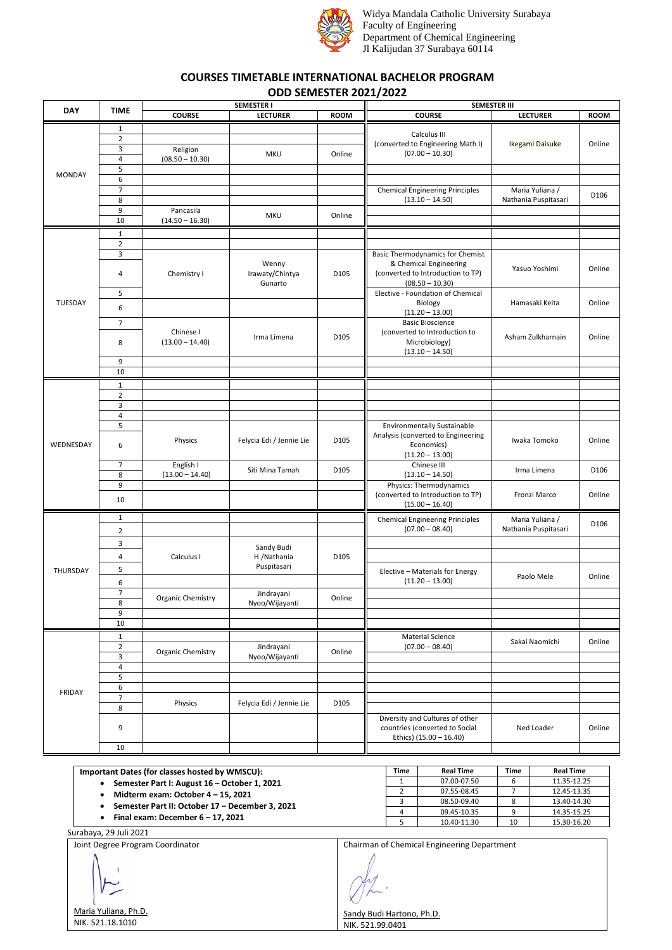

Widya Mandala Catholic University Surabaya Faculty of Engineering Department of Chemical Engineering Jl Kalijudan 37 Surabaya 60114

## **COURSES TIMETABLE INTERNATIONAL BACHELOR PROGRAM ODD SEMESTER 2021/2022**

| <b>DAY</b>    | <b>TIME</b>             |                   | <b>SEMESTER I</b>                   |                  | <b>SEMESTER III</b>                                         |                                         |             |  |
|---------------|-------------------------|-------------------|-------------------------------------|------------------|-------------------------------------------------------------|-----------------------------------------|-------------|--|
|               |                         | <b>COURSE</b>     | <b>LECTURER</b>                     | <b>ROOM</b>      | <b>COURSE</b>                                               | <b>LECTURER</b>                         | <b>ROOM</b> |  |
| <b>MONDAY</b> | 1                       |                   |                                     |                  |                                                             |                                         |             |  |
|               | $\mathbf 2$             |                   |                                     |                  | Calculus III                                                |                                         |             |  |
|               | 3                       | Religion          |                                     |                  | (converted to Engineering Math I)                           | Ikegami Daisuke                         | Online      |  |
|               | $\overline{\mathbf{4}}$ | $(08.50 - 10.30)$ | <b>MKU</b>                          | Online           | $(07.00 - 10.30)$                                           |                                         |             |  |
|               | 5                       |                   |                                     |                  |                                                             |                                         |             |  |
|               | $6\overline{6}$         |                   |                                     |                  |                                                             |                                         |             |  |
|               | $\overline{7}$          |                   |                                     |                  | <b>Chemical Engineering Principles</b>                      | Maria Yuliana /                         |             |  |
|               | 8                       |                   |                                     |                  | $(13.10 - 14.50)$                                           | Nathania Puspitasari                    | D106        |  |
|               | 9                       | Pancasila         |                                     |                  |                                                             |                                         |             |  |
|               | 10                      | $(14.50 - 16.30)$ | <b>MKU</b>                          | Online           |                                                             |                                         |             |  |
|               |                         |                   |                                     |                  |                                                             |                                         |             |  |
|               | $\mathbf{1}$            |                   |                                     |                  |                                                             |                                         |             |  |
|               | $\mathbf 2$<br>3        |                   |                                     |                  | <b>Basic Thermodynamics for Chemist</b>                     |                                         |             |  |
|               | 4                       | Chemistry I       | Wenny<br>Irawaty/Chintya<br>Gunarto | D105             | & Chemical Engineering                                      |                                         |             |  |
|               |                         |                   |                                     |                  | (converted to Introduction to TP)                           | Yasuo Yoshimi                           | Online      |  |
|               |                         |                   |                                     |                  | $(08.50 - 10.30)$                                           |                                         |             |  |
|               | 5                       |                   |                                     |                  | Elective - Foundation of Chemical                           |                                         |             |  |
| TUESDAY       |                         |                   |                                     |                  | Biology                                                     | Hamasaki Keita                          | Online      |  |
|               | 6                       |                   |                                     |                  | $(11.20 - 13.00)$                                           |                                         |             |  |
|               | $\overline{7}$          |                   |                                     |                  | <b>Basic Bioscience</b>                                     |                                         |             |  |
|               |                         | Chinese I         |                                     | D105             | (converted to Introduction to                               |                                         |             |  |
|               | 8                       | $(13.00 - 14.40)$ | Irma Limena                         |                  | Microbiology)                                               | Asham Zulkharnain                       | Online      |  |
|               |                         |                   |                                     |                  | $(13.10 - 14.50)$                                           |                                         |             |  |
|               | 9                       |                   |                                     |                  |                                                             |                                         |             |  |
|               | 10                      |                   |                                     |                  |                                                             |                                         |             |  |
|               | $\mathbf{1}$            |                   |                                     |                  |                                                             |                                         |             |  |
|               | $\overline{2}$          |                   |                                     |                  |                                                             |                                         |             |  |
|               | 3                       |                   |                                     |                  |                                                             |                                         |             |  |
|               | $\overline{4}$          |                   |                                     |                  |                                                             |                                         |             |  |
|               | 5                       |                   |                                     |                  | <b>Environmentally Sustainable</b>                          |                                         |             |  |
|               | 6                       |                   | Felycia Edi / Jennie Lie            |                  | Analysis (converted to Engineering                          |                                         |             |  |
| WEDNESDAY     |                         | Physics           |                                     | D <sub>105</sub> | Economics)                                                  | Iwaka Tomoko                            | Online      |  |
|               |                         |                   |                                     |                  | $(11.20 - 13.00)$                                           |                                         |             |  |
|               | $\overline{7}$          | English I         |                                     |                  | Chinese III                                                 |                                         |             |  |
|               | 8                       | $(13.00 - 14.40)$ | Siti Mina Tamah                     | D105             | $(13.10 - 14.50)$                                           | Irma Limena                             | D106        |  |
|               | 9                       |                   |                                     |                  | Physics: Thermodynamics                                     |                                         |             |  |
|               | 10                      |                   |                                     |                  | (converted to Introduction to TP)                           | Fronzi Marco                            | Online      |  |
|               |                         |                   |                                     |                  | $(15.00 - 16.40)$                                           |                                         |             |  |
|               | $\mathbf{1}$            |                   |                                     |                  | <b>Chemical Engineering Principles</b><br>$(07.00 - 08.40)$ | Maria Yuliana /<br>Nathania Puspitasari | D106        |  |
|               | $\overline{2}$          |                   |                                     |                  |                                                             |                                         |             |  |
| THURSDAY      |                         |                   |                                     |                  |                                                             |                                         |             |  |
|               | 3                       | Calculus I        | Sandy Budi                          | D105             |                                                             |                                         |             |  |
|               | 4                       |                   | H./Nathania                         |                  |                                                             |                                         |             |  |
|               | 5                       |                   | Puspitasari                         |                  | Elective - Materials for Energy                             |                                         |             |  |
|               | 6                       |                   |                                     |                  | $(11.20 - 13.00)$                                           | Paolo Mele                              | Online      |  |
|               | $\overline{7}$          |                   | Jindrayani                          |                  |                                                             |                                         |             |  |
|               | 8                       | Organic Chemistry | Nyoo/Wijayanti                      | Online           |                                                             |                                         |             |  |
|               | 9                       |                   |                                     |                  |                                                             |                                         |             |  |
|               | $10\,$                  |                   |                                     |                  |                                                             |                                         |             |  |
|               |                         |                   |                                     |                  |                                                             |                                         |             |  |
|               | $1\,$                   |                   |                                     |                  | <b>Material Science</b>                                     | Sakai Naomichi                          | Online      |  |
| <b>FRIDAY</b> | $\mathbf 2$             | Organic Chemistry | Jindrayani                          | Online           | $(07.00 - 08.40)$                                           |                                         |             |  |
|               | 3                       |                   | Nyoo/Wijayanti                      |                  |                                                             |                                         |             |  |
|               | 4                       |                   |                                     |                  |                                                             |                                         |             |  |
|               | 5                       |                   |                                     |                  |                                                             |                                         |             |  |
|               | 6                       |                   |                                     |                  |                                                             |                                         |             |  |
|               | $\overline{7}$          | Physics           | Felycia Edi / Jennie Lie            | D105             |                                                             |                                         |             |  |
|               | 8                       |                   |                                     |                  |                                                             |                                         |             |  |
|               |                         |                   |                                     |                  | Diversity and Cultures of other                             |                                         |             |  |
|               | 9                       |                   |                                     |                  | countries (converted to Social                              | Ned Loader                              | Online      |  |
|               |                         |                   |                                     |                  | Ethics) (15.00 - 16.40)                                     |                                         |             |  |
|               | 10                      |                   |                                     |                  |                                                             |                                         |             |  |

**Important Dates (for classes hosted by WMSCU):**

- **Semester Part I: August 16 – October 1, 2021**
- **Midterm exam: October 4 – 15, 2021**
- **Semester Part II: October 17 – December 3, 2021**
- **Final exam: December 6 – 17, 2021**

Surabaya, 29 Juli 2021

Joint Degree Program Coordinator Maria Yuliana, Ph.D. NIK. 521.18.1010

Chairman of Chemical Engineering Department

3 08.50-09.40 8

**Time Real Time Real Time**<br>1 07.00-07.50 6 11.35-12.25 1 07.00-07.50 6 11.35-12.25<br>2 07.55-08.45 7 12.45-13.35

4 09.45-10.35 9 14.35-15.25<br>5 10.40-11.30 10 15.30-16.20 5 10.40-11.30 10 15.30-16.20

07.55-08.45 7 12.45-13.35<br>08.50-09.40 8 13.40-14.30

Sandy Budi Hartono, Ph.D. NIK. 521.99.0401